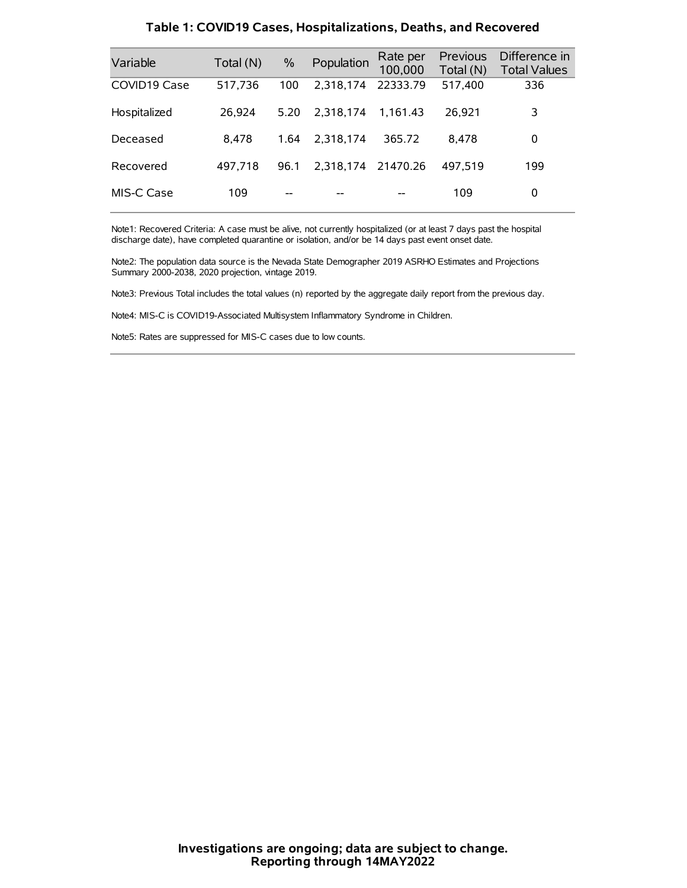| Variable     | Total (N) | $\%$ | Population         | Rate per<br>100,000 | Previous<br>Total (N) | Difference in<br><b>Total Values</b> |
|--------------|-----------|------|--------------------|---------------------|-----------------------|--------------------------------------|
| COVID19 Case | 517,736   | 100  | 2,318,174          | 22333.79            | 517,400               | 336                                  |
| Hospitalized | 26,924    | 5.20 | 2.318.174          | 1.161.43            | 26,921                | 3                                    |
| Deceased     | 8.478     | 1.64 | 2.318.174          | 365.72              | 8.478                 | 0                                    |
| Recovered    | 497,718   | 96.1 | 2,318,174 21470.26 |                     | 497.519               | 199                                  |
| MIS-C Case   | 109       | --   |                    |                     | 109                   | 0                                    |

#### **Table 1: COVID19 Cases, Hospitalizations, Deaths, and Recovered**

Note1: Recovered Criteria: A case must be alive, not currently hospitalized (or at least 7 days past the hospital discharge date), have completed quarantine or isolation, and/or be 14 days past event onset date.

Note2: The population data source is the Nevada State Demographer 2019 ASRHO Estimates and Projections Summary 2000-2038, 2020 projection, vintage 2019.

Note3: Previous Total includes the total values (n) reported by the aggregate daily report from the previous day.

Note4: MIS-C is COVID19-Associated Multisystem Inflammatory Syndrome in Children.

Note5: Rates are suppressed for MIS-C cases due to low counts.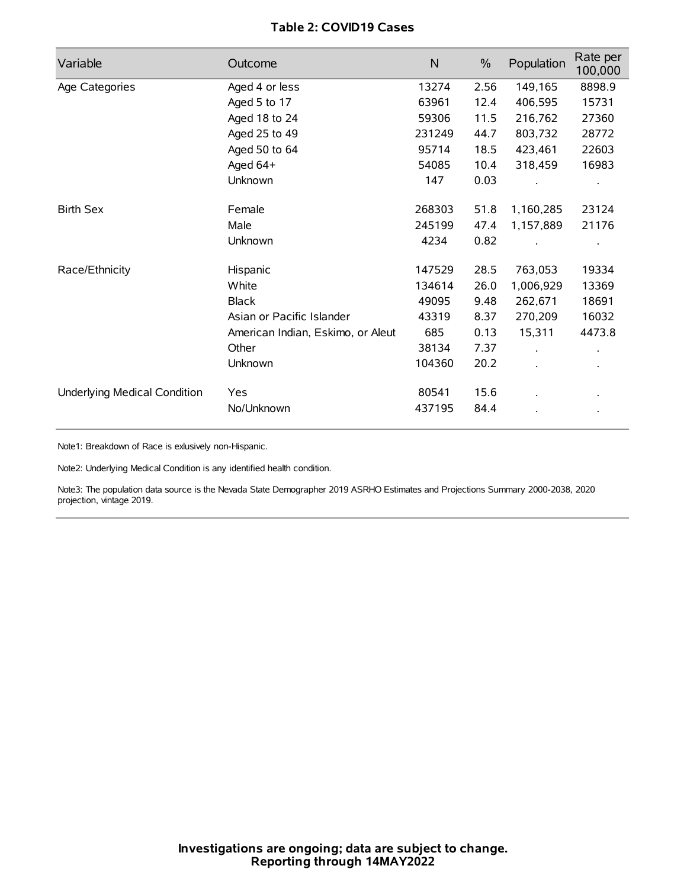# **Table 2: COVID19 Cases**

| Variable                     | Outcome                           | $\mathsf{N}$ | $\%$ | Population | Rate per<br>100,000  |
|------------------------------|-----------------------------------|--------------|------|------------|----------------------|
| Age Categories               | Aged 4 or less                    | 13274        | 2.56 | 149,165    | 8898.9               |
|                              | Aged 5 to 17                      | 63961        | 12.4 | 406,595    | 15731                |
|                              | Aged 18 to 24                     | 59306        | 11.5 | 216,762    | 27360                |
|                              | Aged 25 to 49                     | 231249       | 44.7 | 803,732    | 28772                |
|                              | Aged 50 to 64                     | 95714        | 18.5 | 423,461    | 22603                |
|                              | Aged 64+                          | 54085        | 10.4 | 318,459    | 16983                |
|                              | Unknown                           | 147          | 0.03 |            |                      |
| <b>Birth Sex</b>             | Female                            | 268303       | 51.8 | 1,160,285  | 23124                |
|                              | Male                              | 245199       | 47.4 | 1,157,889  | 21176                |
|                              | Unknown                           | 4234         | 0.82 |            |                      |
| Race/Ethnicity               | Hispanic                          | 147529       | 28.5 | 763,053    | 19334                |
|                              | White                             | 134614       | 26.0 | 1,006,929  | 13369                |
|                              | <b>Black</b>                      | 49095        | 9.48 | 262,671    | 18691                |
|                              | Asian or Pacific Islander         | 43319        | 8.37 | 270,209    | 16032                |
|                              | American Indian, Eskimo, or Aleut | 685          | 0.13 | 15,311     | 4473.8               |
|                              | Other                             | 38134        | 7.37 |            | $\ddot{\phantom{0}}$ |
|                              | Unknown                           | 104360       | 20.2 |            |                      |
| Underlying Medical Condition | Yes                               | 80541        | 15.6 |            |                      |
|                              | No/Unknown                        | 437195       | 84.4 |            |                      |

Note1: Breakdown of Race is exlusively non-Hispanic.

Note2: Underlying Medical Condition is any identified health condition.

Note3: The population data source is the Nevada State Demographer 2019 ASRHO Estimates and Projections Summary 2000-2038, 2020 projection, vintage 2019.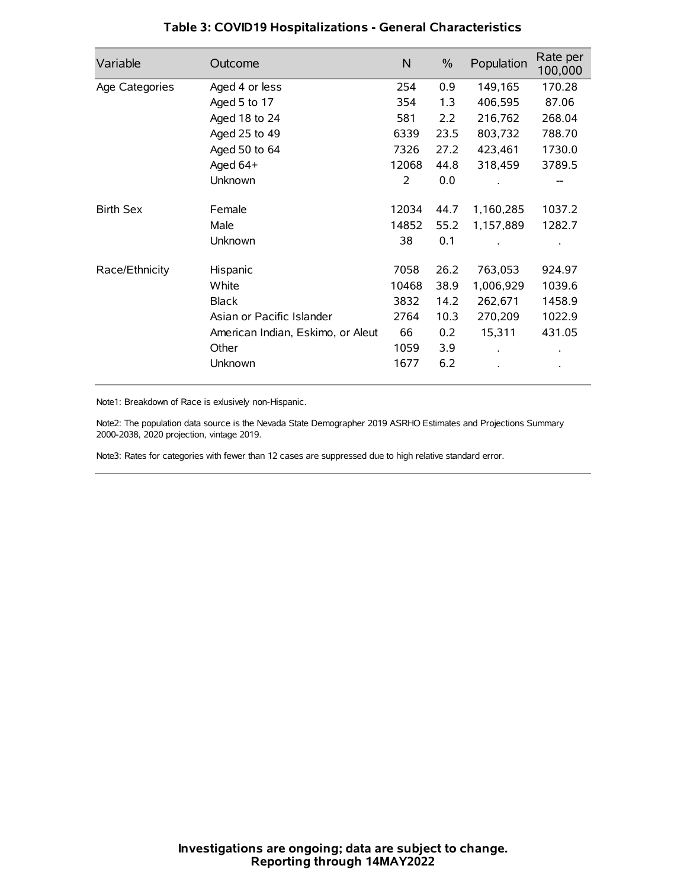| Variable         | Outcome                           | N     | $\%$ | Population | Rate per<br>100,000 |
|------------------|-----------------------------------|-------|------|------------|---------------------|
| Age Categories   | Aged 4 or less                    | 254   | 0.9  | 149,165    | 170.28              |
|                  | Aged 5 to 17                      | 354   | 1.3  | 406,595    | 87.06               |
|                  | Aged 18 to 24                     | 581   | 2.2  | 216,762    | 268.04              |
|                  | Aged 25 to 49                     | 6339  | 23.5 | 803,732    | 788.70              |
|                  | Aged 50 to 64                     | 7326  | 27.2 | 423,461    | 1730.0              |
|                  | Aged $64+$                        | 12068 | 44.8 | 318,459    | 3789.5              |
|                  | Unknown                           | 2     | 0.0  |            |                     |
| <b>Birth Sex</b> | Female                            | 12034 | 44.7 | 1,160,285  | 1037.2              |
|                  | Male                              | 14852 | 55.2 | 1,157,889  | 1282.7              |
|                  | Unknown                           | 38    | 0.1  |            |                     |
| Race/Ethnicity   | Hispanic                          | 7058  | 26.2 | 763,053    | 924.97              |
|                  | White                             | 10468 | 38.9 | 1,006,929  | 1039.6              |
|                  | <b>Black</b>                      | 3832  | 14.2 | 262,671    | 1458.9              |
|                  | Asian or Pacific Islander         | 2764  | 10.3 | 270,209    | 1022.9              |
|                  | American Indian, Eskimo, or Aleut | 66    | 0.2  | 15,311     | 431.05              |
|                  | Other                             | 1059  | 3.9  |            |                     |
|                  | Unknown                           | 1677  | 6.2  |            |                     |

# **Table 3: COVID19 Hospitalizations - General Characteristics**

Note1: Breakdown of Race is exlusively non-Hispanic.

Note2: The population data source is the Nevada State Demographer 2019 ASRHO Estimates and Projections Summary 2000-2038, 2020 projection, vintage 2019.

Note3: Rates for categories with fewer than 12 cases are suppressed due to high relative standard error.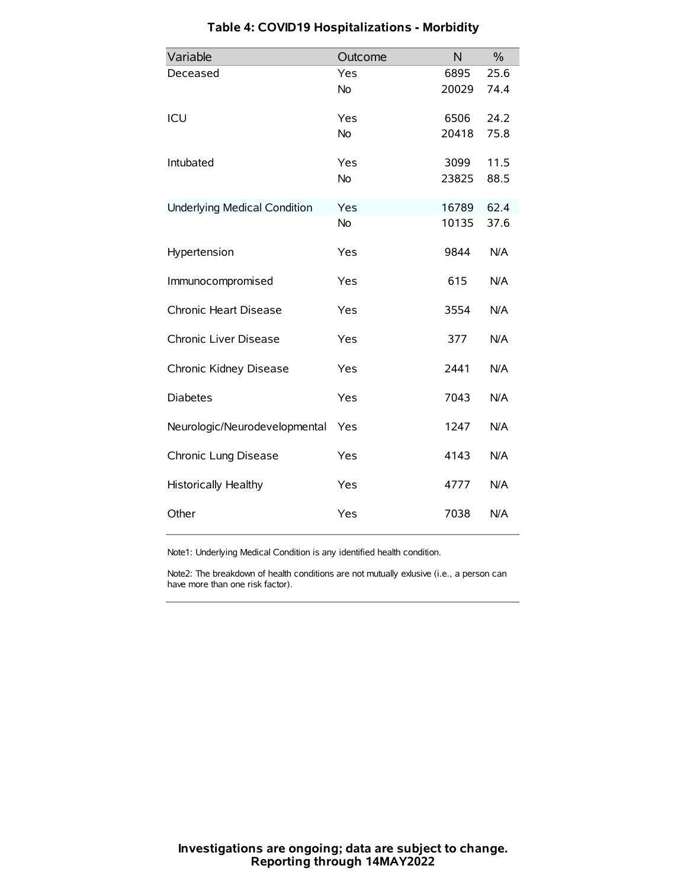| Variable                            | Outcome   | N     | $\frac{0}{0}$ |
|-------------------------------------|-----------|-------|---------------|
| Deceased                            | Yes       | 6895  | 25.6          |
|                                     | <b>No</b> | 20029 | 74.4          |
| ICU                                 | Yes       | 6506  | 24.2          |
|                                     | No        | 20418 | 75.8          |
| Intubated                           | Yes       | 3099  | 11.5          |
|                                     | <b>No</b> | 23825 | 88.5          |
| <b>Underlying Medical Condition</b> | Yes       | 16789 | 62.4          |
|                                     | No        | 10135 | 37.6          |
| Hypertension                        | Yes       | 9844  | N/A           |
| Immunocompromised                   | Yes       | 615   | N/A           |
| Chronic Heart Disease               | Yes       | 3554  | N/A           |
| Chronic Liver Disease               | Yes       | 377   | N/A           |
| Chronic Kidney Disease              | Yes       | 2441  | N/A           |
| <b>Diabetes</b>                     | Yes       | 7043  | N/A           |
| Neurologic/Neurodevelopmental       | Yes       | 1247  | N/A           |
| Chronic Lung Disease                | Yes       | 4143  | N/A           |
| <b>Historically Healthy</b>         | Yes       | 4777  | N/A           |
| Other                               | Yes       | 7038  | N/A           |

# **Table 4: COVID19 Hospitalizations - Morbidity**

Note1: Underlying Medical Condition is any identified health condition.

Note2: The breakdown of health conditions are not mutually exlusive (i.e., a person can have more than one risk factor).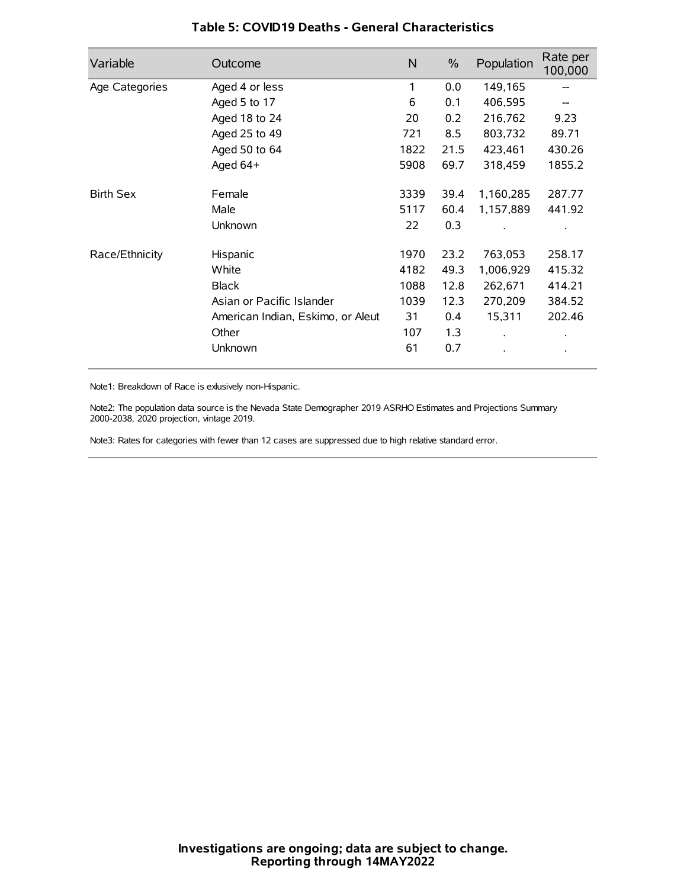| Variable         | Outcome                           | N    | $\%$ | Population           | Rate per<br>100,000 |
|------------------|-----------------------------------|------|------|----------------------|---------------------|
| Age Categories   | Aged 4 or less                    | 1    | 0.0  | 149,165              |                     |
|                  | Aged 5 to 17                      | 6    | 0.1  | 406,595              |                     |
|                  | Aged 18 to 24                     | 20   | 0.2  | 216,762              | 9.23                |
|                  | Aged 25 to 49                     | 721  | 8.5  | 803,732              | 89.71               |
|                  | Aged 50 to 64                     | 1822 | 21.5 | 423,461              | 430.26              |
|                  | Aged 64+                          | 5908 | 69.7 | 318,459              | 1855.2              |
| <b>Birth Sex</b> | Female                            | 3339 | 39.4 | 1,160,285            | 287.77              |
|                  | Male                              | 5117 | 60.4 | 1,157,889            | 441.92              |
|                  | Unknown                           | 22   | 0.3  |                      |                     |
| Race/Ethnicity   | Hispanic                          | 1970 | 23.2 | 763,053              | 258.17              |
|                  | White                             | 4182 | 49.3 | 1,006,929            | 415.32              |
|                  | <b>Black</b>                      | 1088 | 12.8 | 262,671              | 414.21              |
|                  | Asian or Pacific Islander         | 1039 | 12.3 | 270,209              | 384.52              |
|                  | American Indian, Eskimo, or Aleut | 31   | 0.4  | 15,311               | 202.46              |
|                  | Other                             | 107  | 1.3  | $\ddot{\phantom{0}}$ | $\bullet$           |
|                  | Unknown                           | 61   | 0.7  |                      | $\bullet$           |

### **Table 5: COVID19 Deaths - General Characteristics**

Note1: Breakdown of Race is exlusively non-Hispanic.

Note2: The population data source is the Nevada State Demographer 2019 ASRHO Estimates and Projections Summary 2000-2038, 2020 projection, vintage 2019.

Note3: Rates for categories with fewer than 12 cases are suppressed due to high relative standard error.